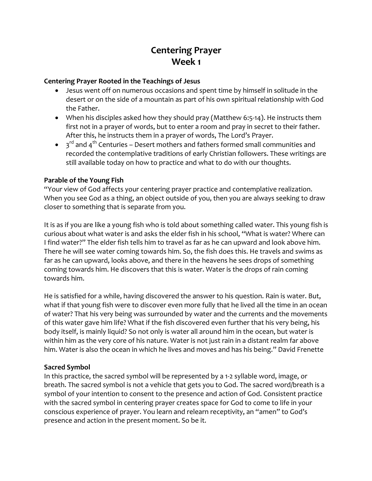# **Centering Prayer Week 1**

#### **Centering Prayer Rooted in the Teachings of Jesus**

- Jesus went off on numerous occasions and spent time by himself in solitude in the desert or on the side of a mountain as part of his own spiritual relationship with God the Father.
- When his disciples asked how they should pray (Matthew 6:5-14). He instructs them first not in a prayer of words, but to enter a room and pray in secret to their father. After this, he instructs them in a prayer of words, The Lord's Prayer.
- $\bullet$   $\circ$  3<sup>rd</sup> and 4<sup>th</sup> Centuries Desert mothers and fathers formed small communities and recorded the contemplative traditions of early Christian followers. These writings are still available today on how to practice and what to do with our thoughts.

### **Parable of the Young Fish**

"Your view of God affects your centering prayer practice and contemplative realization. When you see God as a thing, an object outside of you, then you are always seeking to draw closer to something that is separate from you.

It is as if you are like a young fish who is told about something called water. This young fish is curious about what water is and asks the elder fish in his school, "What is water? Where can I find water?" The elder fish tells him to travel as far as he can upward and look above him. There he will see water coming towards him. So, the fish does this. He travels and swims as far as he can upward, looks above, and there in the heavens he sees drops of something coming towards him. He discovers that this is water. Water is the drops of rain coming towards him.

He is satisfied for a while, having discovered the answer to his question. Rain is water. But, what if that young fish were to discover even more fully that he lived all the time in an ocean of water? That his very being was surrounded by water and the currents and the movements of this water gave him life? What if the fish discovered even further that his very being, his body itself, is mainly liquid? So not only is water all around him in the ocean, but water is within him as the very core of his nature. Water is not just rain in a distant realm far above him. Water is also the ocean in which he lives and moves and has his being." David Frenette

### **Sacred Symbol**

In this practice, the sacred symbol will be represented by a 1-2 syllable word, image, or breath. The sacred symbol is not a vehicle that gets you to God. The sacred word/breath is a symbol of your intention to consent to the presence and action of God. Consistent practice with the sacred symbol in centering prayer creates space for God to come to life in your conscious experience of prayer. You learn and relearn receptivity, an "amen" to God's presence and action in the present moment. So be it.